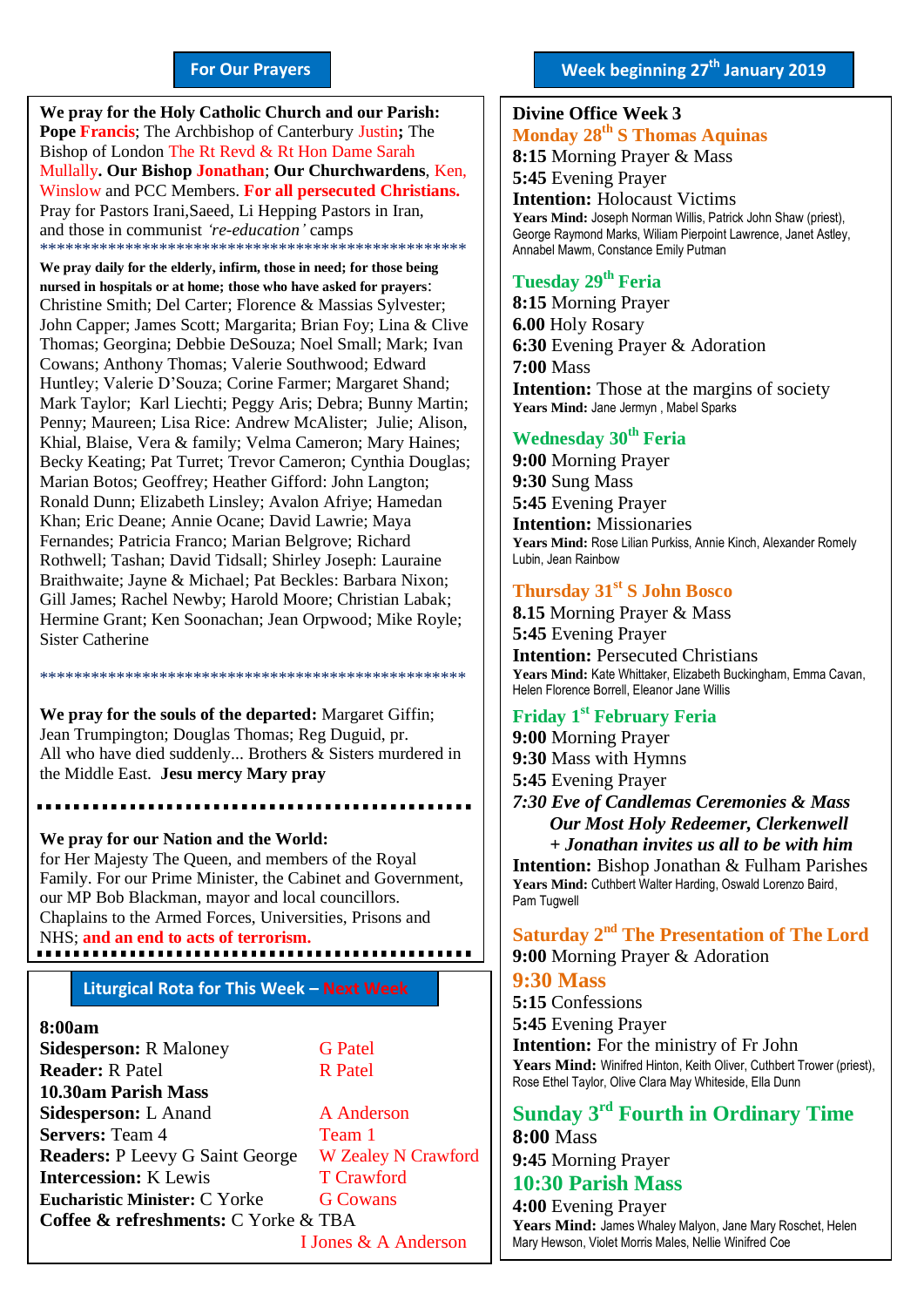#### **For Our Prayers**

arted Mullally**. Our Bishop Jonathan**; **Our Churchwardens**, Ken, **We pray for the Holy Catholic Church and our Parish: Pope Francis**; The Archbishop of Canterbury Justin**;** The Bishop of London The Rt Revd & Rt Hon Dame Sarah Winslow and PCC Members. **For all persecuted Christians.** Pray for Pastors Irani,Saeed, Li Hepping Pastors in Iran, and those in communist *'re-education'* camps \*\*\*\*\*\*\*\*\*\*\*\*\*\*\*\*\*\*\*\*\*\*\*\*\*\*\*\*\*\*\*\*\*\*\*\*\*\*\*\*\*\*\*\*\*\*\*\*\*\*

**We pray daily for the elderly, infirm, those in need; for those being nursed in hospitals or at home; those who have asked for prayers**: Christine Smith; Del Carter; Florence & Massias Sylvester; John Capper; James Scott; Margarita; Brian Foy; Lina & Clive Thomas; Georgina; Debbie DeSouza; Noel Small; Mark; Ivan Cowans; Anthony Thomas; Valerie Southwood; Edward Huntley; Valerie D'Souza; Corine Farmer; Margaret Shand; Mark Taylor; Karl Liechti; Peggy Aris; Debra; Bunny Martin; Penny; Maureen; Lisa Rice: Andrew McAlister; Julie; Alison, Khial, Blaise, Vera & family; Velma Cameron; Mary Haines; Becky Keating; Pat Turret; Trevor Cameron; Cynthia Douglas; Marian Botos; Geoffrey; Heather Gifford: John Langton; Ronald Dunn; Elizabeth Linsley; Avalon Afriye; Hamedan Khan; Eric Deane; Annie Ocane; David Lawrie; Maya Fernandes; Patricia Franco; Marian Belgrove; Richard Rothwell; Tashan; David Tidsall; Shirley Joseph: Lauraine Braithwaite; Jayne & Michael; Pat Beckles: Barbara Nixon; Gill James; Rachel Newby; Harold Moore; Christian Labak; Hermine Grant; Ken Soonachan; Jean Orpwood; Mike Royle; Sister Catherine

**We pray for the souls of the departed:** Margaret Giffin; Jean Trumpington; Douglas Thomas; Reg Duguid, pr. All who have died suddenly... Brothers & Sisters murdered in the Middle East. **Jesu mercy Mary pray**

\*\*\*\*\*\*\*\*\*\*\*\*\*\*\*\*\*\*\*\*\*\*\*\*\*\*\*\*\*\*\*\*\*\*\*\*\*\*\*\*\*\*\*\*\*\*\*\*\*\*

#### **We pray for our Nation and the World:**

for Her Majesty The Queen, and members of the Royal Family. For our Prime Minister, the Cabinet and Government, our MP Bob Blackman, mayor and local councillors. Chaplains to the Armed Forces, Universities, Prisons and NHS; **and an end to acts of terrorism.**

#### **Liturgical Rota for This Week – Next Week**

#### **8:00am**

**Sidesperson:** R Maloney **G Patel Reader:** R Patel R Patel **10.30am Parish Mass Sidesperson:** L Anand A Anderson **Servers:** Team 4 Team 1 **Readers:** P Leevy G Saint George W Zealey N Crawford **Intercession:** K Lewis T Crawford **Eucharistic Minister:** C Yorke **G Cowans Coffee & refreshments:** C Yorke & TBA I Jones & A Anderson

#### **Divine Office Week 3 Monday 28 th S Thomas Aquinas**

**8:15** Morning Prayer & Mass **5:45** Evening Prayer

**Intention:** Holocaust Victims **Years Mind:** Joseph Norman Willis, Patrick John Shaw (priest), George Raymond Marks, Wiliam Pierpoint Lawrence, Janet Astley, Annabel Mawm, Constance Emily Putman

#### **Tuesday 29 th Feria**

**8:15** Morning Prayer **6.00** Holy Rosary **6:30** Evening Prayer & Adoration **7:00** Mass **Intention:** Those at the margins of society **Years Mind:** Jane Jermyn , Mabel Sparks

### **Wednesday 30th Feria**

**9:00** Morning Prayer **9:30** Sung Mass **5:45** Evening Prayer **Intention:** Missionaries **Years Mind:** Rose Lilian Purkiss, Annie Kinch, Alexander Romely Lubin, Jean Rainbow

#### **Thursday 31st S John Bosco**

**8.15** Morning Prayer & Mass **5:45** Evening Prayer **Intention:** Persecuted Christians **Years Mind:** Kate Whittaker, Elizabeth Buckingham, Emma Cavan, Helen Florence Borrell, Eleanor Jane Willis

### **Friday 1 st February Feria**

**9:00** Morning Prayer **9:30** Mass with Hymns **5:45** Evening Prayer *7:30 Eve of Candlemas Ceremonies & Mass Our Most Holy Redeemer, Clerkenwell + Jonathan invites us all to be with him* **Intention:** Bishop Jonathan & Fulham Parishes **Years Mind:** Cuthbert Walter Harding, Oswald Lorenzo Baird, Pam Tugwell

**Saturday 2 nd The Presentation of The Lord 9:00** Morning Prayer & Adoration

#### **9:30 Mass**

**5:15** Confessions **5:45** Evening Prayer

**Intention:** For the ministry of Fr John **Years Mind:** Winifred Hinton, Keith Oliver, Cuthbert Trower (priest), Rose Ethel Taylor, Olive Clara May Whiteside, Ella Dunn

#### **Sunday 3 rd Fourth in Ordinary Time 8:00** Mass

**9:45** Morning Prayer

# **10:30 Parish Mass**

**4:00** Evening Prayer **Years Mind:** James Whaley Malyon, Jane Mary Roschet, Helen Mary Hewson, Violet Morris Males, Nellie Winifred Coe